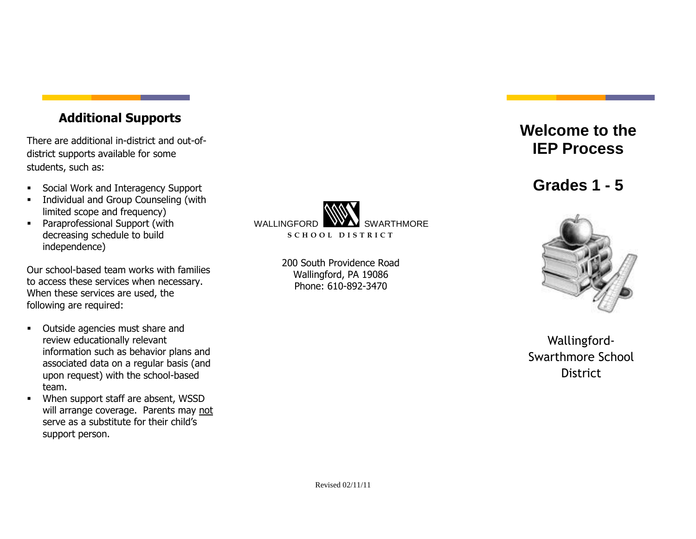## **Additional Supports**

There are additional in-district and out-ofdistrict supports available for some students, such as:

- Social Work and Interagency Support
- **Individual and Group Counseling (with** limited scope and frequency)
- **•** Paraprofessional Support (with decreasing schedule to build independence)

Our school-based team works with families to access these services when necessary. When these services are used, the following are required:

- **•** Outside agencies must share and review educationally relevant information such as behavior plans and associated data on a regular basis (and upon request) with the school-based team.
- When support staff are absent, WSSD will arrange coverage. Parents may not serve as a substitute for their child's support person.



200 South Providence Road Wallingford, PA 19086 Phone: 610-892-3470

## **Welcome to the IEP Process**

**Grades 1 - 5**



Wallingford-Swarthmore School **District**